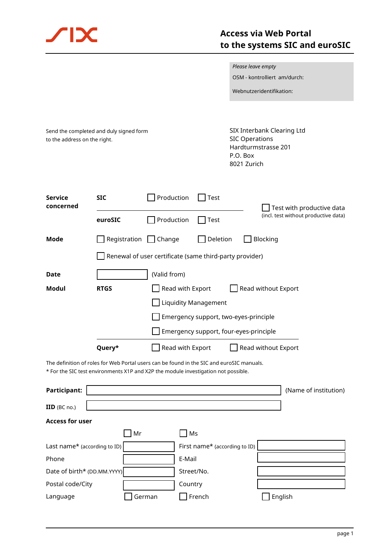

|                                                                                                                                                                                 |                                                         |                  |                               | Please leave empty                                                                                    |                                      |  |
|---------------------------------------------------------------------------------------------------------------------------------------------------------------------------------|---------------------------------------------------------|------------------|-------------------------------|-------------------------------------------------------------------------------------------------------|--------------------------------------|--|
|                                                                                                                                                                                 |                                                         |                  |                               |                                                                                                       | OSM - kontrolliert am/durch:         |  |
|                                                                                                                                                                                 |                                                         |                  |                               |                                                                                                       | Webnutzeridentifikation:             |  |
|                                                                                                                                                                                 |                                                         |                  |                               |                                                                                                       |                                      |  |
| Send the completed and duly signed form<br>to the address on the right.                                                                                                         |                                                         |                  |                               | SIX Interbank Clearing Ltd<br><b>SIC Operations</b><br>Hardturmstrasse 201<br>P.O. Box<br>8021 Zurich |                                      |  |
| <b>Service</b><br>concerned                                                                                                                                                     | <b>SIC</b>                                              | Production       | Test                          |                                                                                                       | Test with productive data            |  |
|                                                                                                                                                                                 | euroSIC                                                 | Production       | Test                          |                                                                                                       | (incl. test without productive data) |  |
| Mode                                                                                                                                                                            | Registration $\Box$                                     | Change           | Deletion                      |                                                                                                       | Blocking                             |  |
|                                                                                                                                                                                 | Renewal of user certificate (same third-party provider) |                  |                               |                                                                                                       |                                      |  |
| <b>Date</b>                                                                                                                                                                     | (Valid from)                                            |                  |                               |                                                                                                       |                                      |  |
| Modul                                                                                                                                                                           | <b>RTGS</b>                                             | Read with Export |                               |                                                                                                       | Read without Export                  |  |
| <b>Liquidity Management</b>                                                                                                                                                     |                                                         |                  |                               |                                                                                                       |                                      |  |
| Emergency support, two-eyes-principle                                                                                                                                           |                                                         |                  |                               |                                                                                                       |                                      |  |
| Emergency support, four-eyes-principle                                                                                                                                          |                                                         |                  |                               |                                                                                                       |                                      |  |
|                                                                                                                                                                                 | Query*                                                  | Read with Export |                               |                                                                                                       | Read without Export                  |  |
| The definition of roles for Web Portal users can be found in the SIC and euroSIC manuals.<br>* For the SIC test environments X1P and X2P the module investigation not possible. |                                                         |                  |                               |                                                                                                       |                                      |  |
| Participant:                                                                                                                                                                    |                                                         |                  |                               |                                                                                                       | (Name of institution)                |  |
| IID (BC no.)                                                                                                                                                                    |                                                         |                  |                               |                                                                                                       |                                      |  |
| <b>Access for user</b>                                                                                                                                                          |                                                         |                  |                               |                                                                                                       |                                      |  |
|                                                                                                                                                                                 | Mr                                                      |                  | Ms                            |                                                                                                       |                                      |  |
| Last name* (according to ID)                                                                                                                                                    |                                                         |                  | First name* (according to ID) |                                                                                                       |                                      |  |
| Phone                                                                                                                                                                           |                                                         | E-Mail           |                               |                                                                                                       |                                      |  |
| Date of birth* (DD.MM.YYYY)                                                                                                                                                     |                                                         |                  | Street/No.                    |                                                                                                       |                                      |  |
| Postal code/City                                                                                                                                                                |                                                         | Country          |                               |                                                                                                       |                                      |  |
| Language                                                                                                                                                                        |                                                         | German           | French                        |                                                                                                       | English                              |  |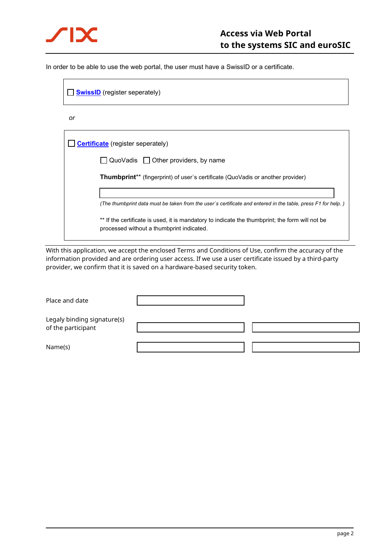

In order to be able to use the web portal, the user must have a SwissID or a certificate.

| <b>SwissID</b> (register seperately)                                                                         |  |  |  |  |  |
|--------------------------------------------------------------------------------------------------------------|--|--|--|--|--|
| or                                                                                                           |  |  |  |  |  |
| <b>Certificate</b> (register seperately)                                                                     |  |  |  |  |  |
| QuoVadis $\Box$ Other providers, by name<br>$\blacksquare$                                                   |  |  |  |  |  |
| <b>Thumbprint**</b> (fingerprint) of user's certificate (QuoVadis or another provider)                       |  |  |  |  |  |
|                                                                                                              |  |  |  |  |  |
| (The thumbprint data must be taken from the user's certificate and entered in the table, press F1 for help.) |  |  |  |  |  |
| ** If the certificate is used, it is mandatory to indicate the thumbprint; the form will not be              |  |  |  |  |  |

With this application, we accept the enclosed Terms and Conditions of Use, confirm the accuracy of the information provided and are ordering user access. If we use a user certificate issued by a third-party provider, we confirm that it is saved on a hardware-based security token.

processed without a thumbprint indicated.

| Place and date                                    |  |
|---------------------------------------------------|--|
| Legaly binding signature(s)<br>of the participant |  |
| Name(s)                                           |  |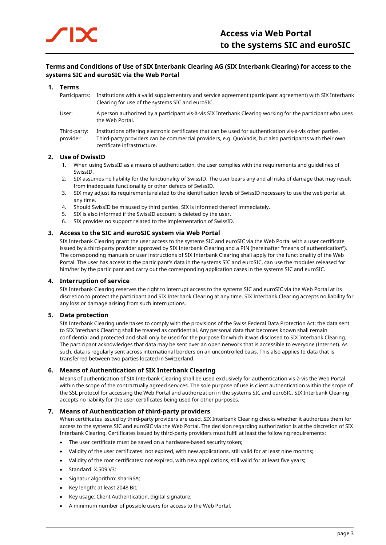# **Terms and Conditions of Use of SIX Interbank Clearing AG (SIX Interbank Clearing) for access to the systems SIC and euroSIC via the Web Portal**

# **1. Terms**

Participants: Institutions with a valid supplementary and service agreement (participant agreement) with SIX Interbank Clearing for use of the systems SIC and euroSIC.

User: A person authorized by a participant vis-à-vis SIX Interbank Clearing working for the participant who uses the Web Portal.

#### Third-party: Institutions offering electronic certificates that can be used for authentication vis-à-vis other parties. provider Third-party providers can be commercial providers, e.g. QuoVadis, but also participants with their own certificate infrastructure.

# **2. Use of DwissID**

- 1. When using SwissID as a means of authentication, the user complies with the requirements and guidelines of SwissID.
- 2. SIX assumes no liability for the functionality of SwissID. The user bears any and all risks of damage that may result from inadequate functionality or other defects of SwissID.
- 3. SIX may adjust its requirements related to the identification levels of SwissID necessary to use the web portal at any time.
- 4. Should SwissID be misused by third parties, SIX is informed thereof immediately.
- 5. SIX is also informed if the SwissID account is deleted by the user.
- 6. SIX provides no support related to the implementation of SwissID.

# **3. Access to the SIC and euroSIC system via Web Portal**

SIX Interbank Clearing grant the user access to the systems SIC and euroSIC via the Web Portal with a user certificate issued by a third-party provider approved by SIX Interbank Clearing and a PIN (hereinafter "means of authentication"). The corresponding manuals or user instructions of SIX Interbank Clearing shall apply for the functionality of the Web Portal. The user has access to the participant's data in the systems SIC and euroSIC, can use the modules released for him/her by the participant and carry out the corresponding application cases in the systems SIC and euroSIC.

# **4. Interruption of service**

SIX Interbank Clearing reserves the right to interrupt access to the systems SIC and euroSIC via the Web Portal at its discretion to protect the participant and SIX Interbank Clearing at any time. SIX Interbank Clearing accepts no liability for any loss or damage arising from such interruptions.

# **5. Data protection**

SIX Interbank Clearing undertakes to comply with the provisions of the Swiss Federal Data Protection Act; the data sent to SIX Interbank Clearing shall be treated as confidential. Any personal data that becomes known shall remain confidential and protected and shall only be used for the purpose for which it was disclosed to SIX Interbank Clearing. The participant acknowledges that data may be sent over an open network that is accessible to everyone (Internet). As such, data is regularly sent across international borders on an uncontrolled basis. This also applies to data that is transferred between two parties located in Switzerland.

# **6. Means of Authentication of SIX Interbank Clearing**

Means of authentication of SIX Interbank Clearing shall be used exclusively for authentication vis-à-vis the Web Portal within the scope of the contractually agreed services. The sole purpose of use is client authentication within the scope of the SSL protocol for accessing the Web Portal and authorization in the systems SIC and euroSIC. SIX Interbank Clearing accepts no liability for the user certificates being used for other purposes.

# **7. Means of Authentication of third-party providers**

When certificates issued by third-party providers are used, SIX Interbank Clearing checks whether it authorizes them for access to the systems SIC and euroSIC via the Web Portal. The decision regarding authorization is at the discretion of SIX Interbank Clearing. Certificates issued by third-party providers must fulfil at least the following requirements:

- The user certificate must be saved on a hardware-based security token;
- Validity of the user certificates: not expired, with new applications, still valid for at least nine months;
- Validity of the root certificates: not expired, with new applications, still valid for at least five years;
- Standard: X.509 V3;
- Signatur algorithm: sha1RSA;
- Key length: at least 2048 Bit;
- Key usage: Client Authentication, digital signature;
- A minimum number of possible users for access to the Web Portal.